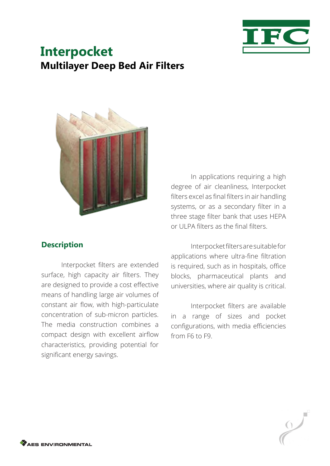

# **Interpocket Multilayer Deep Bed Air Filters**



### **Description**

Interpocket filters are extended surface, high capacity air filters. They are designed to provide a cost effective means of handling large air volumes of constant air flow, with high-particulate concentration of sub-micron particles. The media construction combines a compact design with excellent airflow characteristics, providing potential for significant energy savings.

In applications requiring a high degree of air cleanliness, Interpocket filters excel as final filters in air handling systems, or as a secondary filter in a three stage filter bank that uses HEPA or ULPA filters as the final filters.

Interpocket filters are suitable for applications where ultra-fine filtration is required, such as in hospitals, office blocks, pharmaceutical plants and universities, where air quality is critical.

Interpocket filters are available in a range of sizes and pocket configurations, with media efficiencies from F6 to F9.

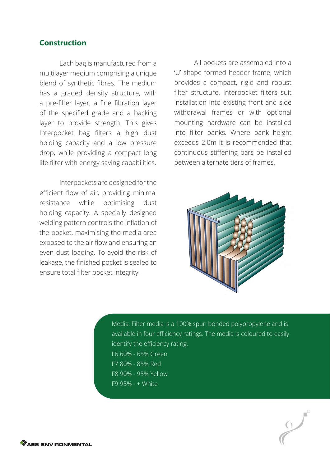#### **Construction**

Each bag is manufactured from a multilayer medium comprising a unique blend of synthetic fibres. The medium has a graded density structure, with a pre-filter layer, a fine filtration layer of the specified grade and a backing layer to provide strength. This gives Interpocket bag filters a high dust holding capacity and a low pressure drop, while providing a compact long life filter with energy saving capabilities.

Interpockets are designed for the efficient flow of air, providing minimal resistance while optimising dust holding capacity. A specially designed welding pattern controls the inflation of the pocket, maximising the media area exposed to the air flow and ensuring an even dust loading. To avoid the risk of leakage, the finished pocket is sealed to ensure total filter pocket integrity.

All pockets are assembled into a 'U' shape formed header frame, which provides a compact, rigid and robust filter structure. Interpocket filters suit installation into existing front and side withdrawal frames or with optional mounting hardware can be installed into filter banks. Where bank height exceeds 2.0m it is recommended that continuous stiffening bars be installed between alternate tiers of frames.



Media: Filter media is a 100% spun bonded polypropylene and is available in four efficiency ratings. The media is coloured to easily identify the efficiency rating. F6 60% - 65% Green F7 80% - 85% Red F8 90% - 95% Yellow F9 95% - + White

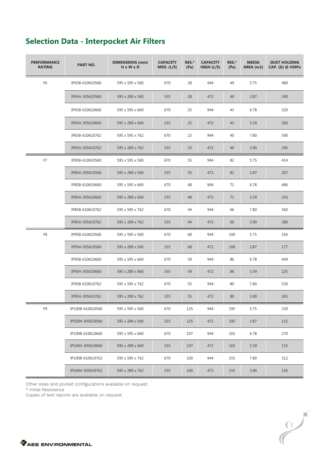| <b>PERFORMANCE</b><br><b>RATING</b> | <b>PART NO.</b>  | <b>DIMENSIONS (mm)</b><br>H x W x D | <b>CAPACITY</b><br>MED. (L/S) | RES.*<br>(Pa) | <b>CAPACITY</b><br>HIGH (L/S) | RES.*<br>(Pa) | <b>MEDIA</b><br>AREA (m2) | <b>DUST HOLDING</b><br>CAP. (G) @ 450Pa |
|-------------------------------------|------------------|-------------------------------------|-------------------------------|---------------|-------------------------------|---------------|---------------------------|-----------------------------------------|
| F <sub>6</sub>                      | IP658-610610560  | 595 x 595 x 560                     | 670                           | 28            | 944                           | 49            | 5.75                      | 480                                     |
|                                     | IP654-305610560  | 595 x 289 x 560                     | 335                           | 28            | 472                           | 49            | 2.87                      | 240                                     |
|                                     | IP658-610610660  | 595 x 595 x 660                     | 670                           | 25            | 944                           | 43            | 6.78                      | 520                                     |
|                                     | IP654-305610660  | 595 x 289 x 660                     | 335                           | 25            | 472                           | 43            | 3.39                      | 260                                     |
|                                     | IP658-610610762  | 595 x 595 x 762                     | 670                           | 23            | 944                           | 40            | 7.80                      | 590                                     |
|                                     | IP654-305610762  | 595 x 289 x 762                     | 335                           | 23            | 472                           | 40            | 3.90                      | 295                                     |
| F7                                  | IP858-610610560  | 595 x 595 x 560                     | 670                           | 55            | 944                           | 82            | 5.75                      | 414                                     |
|                                     | IP854-305610560  | 595 x 289 x 560                     | 335                           | 55            | 472                           | 82            | 2.87                      | 207                                     |
|                                     | IP858-610610660  | 595 x 595 x 660                     | 670                           | 48            | 944                           | 71            | 6.78                      | 486                                     |
|                                     | IP854-305610660  | 595 x 289 x 660                     | 335                           | 48            | 472                           | 71            | 3.39                      | 243                                     |
|                                     | IP858-610610762  | 595 x 595 x 762                     | 670                           | 44            | 944                           | 66            | 7.80                      | 560                                     |
|                                     | IP854-305610762  | 595 x 289 x 762                     | 335                           | 44            | 472                           | 66            | 3.90                      | 280                                     |
| F8                                  | IP958-610610560  | 595 x 595 x 560                     | 670                           | 68            | 944                           | 100           | 5.75                      | 356                                     |
|                                     | IP954-305610560  | 595 x 289 x 560                     | 335                           | 68            | 472                           | 100           | 2.87                      | 177                                     |
|                                     | IP958-610610660  | 595 x 595 x 660                     | 670                           | 59            | 944                           | 86            | 6.78                      | 449                                     |
|                                     | IP954-305610660  | 595 x 289 x 660                     | 335                           | 59            | 472                           | 86            | 3.39                      | 225                                     |
|                                     | IP958-610610762  | 595 x 595 x 762                     | 670                           | 55            | 944                           | 80            | 7.80                      | 530                                     |
|                                     | IP954-305610762  | 595 x 289 x 762                     | 335                           | 55            | 472                           | 80            | 3.90                      | 265                                     |
| F9                                  | IP1008-610610560 | 595 x 595 x 560                     | 670                           | 125           | 944                           | 195           | 5.75                      | 230                                     |
|                                     | IP1004-305610560 | 595 x 289 x 560                     | 335                           | 125           | 472                           | 195           | 2.87                      | 115                                     |
|                                     | IP1008-610610660 | 595 x 595 x 660                     | 670                           | 107           | 944                           | 165           | 6.78                      | 270                                     |
|                                     | IP1004-305610660 | 595 x 289 x 660                     | 335                           | 107           | 472                           | 165           | 3.39                      | 135                                     |
|                                     | IP1008-610610762 | 595 x 595 x 762                     | 670                           | 100           | 944                           | 155           | 7.80                      | 312                                     |
|                                     | IP1004-305610762 | 595 x 289 x 762                     | 335                           | 100           | 472                           | 155           | 3.90                      | 156                                     |

# **Selection Data - Interpocket Air Filters**

Other sizes and pocket configurations available on request.

\* Initial Resistance

Copies of test reports are available on request.

 $\frac{1}{2}$